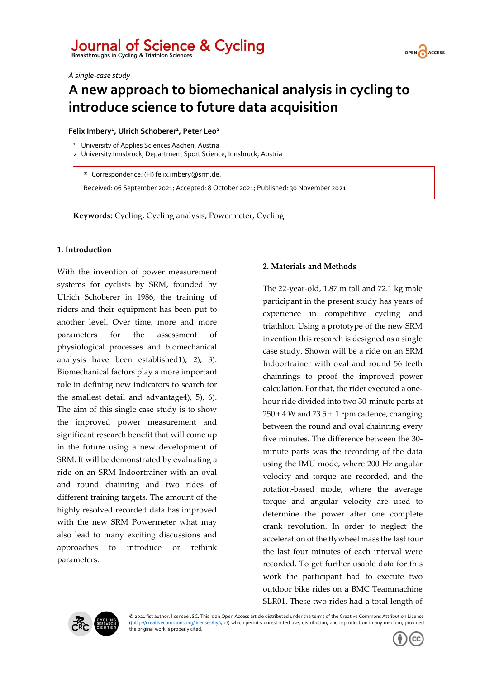## Journal of Science & Cycling<br>Breakthroughs in Cycling & Triathlon Sciences



*A single-case study*

## **A new approach to biomechanical analysis in cycling to introduce science to future data acquisition**

### **Felix Imbery<sup>1</sup> , Ulrich Schoberer<sup>2</sup> , Peter Leo<sup>2</sup>**

- <sup>1</sup> University of Applies Sciences Aachen, Austria
- 2 University Innsbruck, Department Sport Science, Innsbruck, Austria

**\*** Correspondence: (FI) felix.imbery@srm.de.

Received: 06 September 2021; Accepted: 8 October 2021; Published: 30 November 2021

**Keywords:** Cycling, Cycling analysis, Powermeter, Cycling

### **1. Introduction**

With the invention of power measurement systems for cyclists by SRM, founded by Ulrich Schoberer in 1986, the training of riders and their equipment has been put to another level. Over time, more and more parameters for the assessment of physiological processes and biomechanical analysis have been established1), 2), 3). Biomechanical factors play a more important role in defining new indicators to search for the smallest detail and advantage4), 5), 6). The aim of this single case study is to show the improved power measurement and significant research benefit that will come up in the future using a new development of SRM. It will be demonstrated by evaluating a ride on an SRM Indoortrainer with an oval and round chainring and two rides of different training targets. The amount of the highly resolved recorded data has improved with the new SRM Powermeter what may also lead to many exciting discussions and approaches to introduce or rethink parameters.

### **2. Materials and Methods**

The 22-year-old, 1.87 m tall and 72.1 kg male participant in the present study has years of experience in competitive cycling and triathlon. Using a prototype of the new SRM invention this research is designed as a single case study. Shown will be a ride on an SRM Indoortrainer with oval and round 56 teeth chainrings to proof the improved power calculation. For that, the rider executed a onehour ride divided into two 30-minute parts at  $250 \pm 4$  W and  $73.5 \pm 1$  rpm cadence, changing between the round and oval chainring every five minutes. The difference between the 30 minute parts was the recording of the data using the IMU mode, where 200 Hz angular velocity and torque are recorded, and the rotation-based mode, where the average torque and angular velocity are used to determine the power after one complete crank revolution. In order to neglect the acceleration of the flywheel mass the last four the last four minutes of each interval were recorded. To get further usable data for this work the participant had to execute two outdoor bike rides on a BMC Teammachine SLR01. These two rides had a total length of



© 2021 fist author, licensee JSC. This is an Open Access article distributed under the terms of the Creative Commons Attribution License [\(\(http://creativecommons.org/licenses/by/4.0/\)](http://creativecommons.org/licenses/by/4.0/) which permits unrestricted use, distribution, and reproduction in any medium, provided the original work is properly cited.

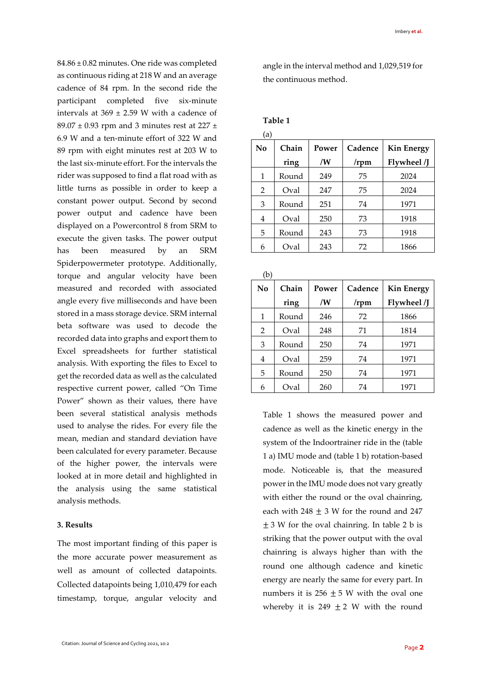84.86 ± 0.82 minutes. One ride was completed as continuous riding at 218 W and an average cadence of 84 rpm. In the second ride the participant completed five six-minute intervals at  $369 \pm 2.59$  W with a cadence of  $89.07 \pm 0.93$  rpm and 3 minutes rest at 227  $\pm$ 6.9 W and a ten-minute effort of 322 W and 89 rpm with eight minutes rest at 203 W to the last six-minute effort. For the intervals the rider was supposed to find a flat road with as little turns as possible in order to keep a constant power output. Second by second power output and cadence have been displayed on a Powercontrol 8 from SRM to execute the given tasks. The power output has been measured by an SRM Spiderpowermeter prototype. Additionally, torque and angular velocity have been measured and recorded with associated angle every five milliseconds and have been stored in a mass storage device. SRM internal beta software was used to decode the recorded data into graphs and export them to Excel spreadsheets for further statistical analysis. With exporting the files to Excel to get the recorded data as well as the calculated respective current power, called "On Time Power" shown as their values, there have been several statistical analysis methods used to analyse the rides. For every file the mean, median and standard deviation have been calculated for every parameter. Because of the higher power, the intervals were looked at in more detail and highlighted in the analysis using the same statistical analysis methods.

### **3. Results**

The most important finding of this paper is the more accurate power measurement as well as amount of collected datapoints. Collected datapoints being 1,010,479 for each timestamp, torque, angular velocity and angle in the interval method and 1,029,519 for the continuous method.

### **Table 1**

| (a)          |       |       |         |                   |
|--------------|-------|-------|---------|-------------------|
| $\bf No$     | Chain | Power | Cadence | <b>Kin Energy</b> |
|              | ring  | /W    | /rpm    | Flywheel /J       |
| $\mathbf{1}$ | Round | 249   | 75      | 2024              |
| 2            | Oval  | 247   | 75      | 2024              |
| 3            | Round | 251   | 74      | 1971              |
| 4            | Oval  | 250   | 73      | 1918              |
| 5            | Round | 243   | 73      | 1918              |
| 6            | Oval  | 243   | 72      | 1866              |

| (b) |       |       |         |                   |
|-----|-------|-------|---------|-------------------|
| No  | Chain | Power | Cadence | <b>Kin Energy</b> |
|     | ring  | /W    | /rpm    | Flywheel /J       |
| 1   | Round | 246   | 72      | 1866              |
| 2   | Oval  | 248   | 71      | 1814              |
| 3   | Round | 250   | 74      | 1971              |
| 4   | Oval  | 259   | 74      | 1971              |
| 5   | Round | 250   | 74      | 1971              |
| 6   | Oval  | 260   | 74      | 1971              |

Table 1 shows the measured power and cadence as well as the kinetic energy in the system of the Indoortrainer ride in the (table 1 a) IMU mode and (table 1 b) rotation-based mode. Noticeable is, that the measured power in the IMU mode does not vary greatly with either the round or the oval chainring, each with  $248 \pm 3$  W for the round and 247  $± 3$  W for the oval chainring. In table 2 b is striking that the power output with the oval chainring is always higher than with the round one although cadence and kinetic energy are nearly the same for every part. In numbers it is  $256 \pm 5$  W with the oval one whereby it is 249  $\pm$  2 W with the round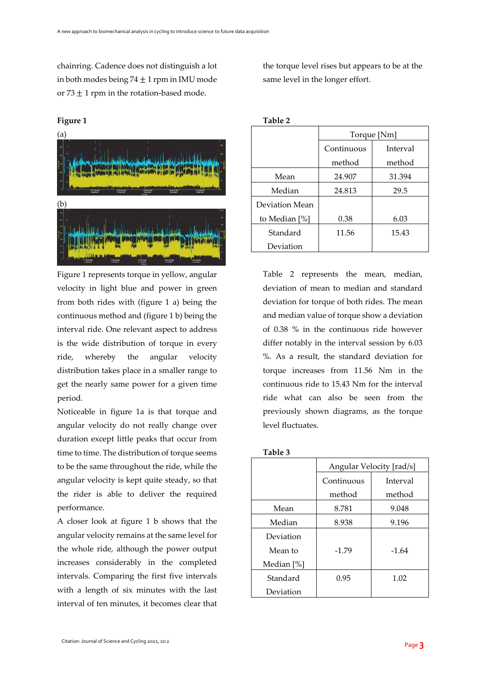chainring. Cadence does not distinguish a lot in both modes being  $74 \pm 1$  rpm in IMU mode or  $73 \pm 1$  rpm in the rotation-based mode.

# (a) (b)

Figure 1 represents torque in yellow, angular velocity in light blue and power in green from both rides with (figure 1 a) being the continuous method and (figure 1 b) being the interval ride. One relevant aspect to address is the wide distribution of torque in every ride, whereby the angular velocity distribution takes place in a smaller range to get the nearly same power for a given time period.

Noticeable in figure 1a is that torque and angular velocity do not really change over duration except little peaks that occur from time to time. The distribution of torque seems to be the same throughout the ride, while the angular velocity is kept quite steady, so that the rider is able to deliver the required performance.

A closer look at figure 1 b shows that the angular velocity remains at the same level for the whole ride, although the power output increases considerably in the completed intervals. Comparing the first five intervals with a length of six minutes with the last interval of ten minutes, it becomes clear that the torque level rises but appears to be at the same level in the longer effort.

| I<br>ш<br>. . |  |
|---------------|--|
|---------------|--|

|                | Torque [Nm]            |        |  |
|----------------|------------------------|--------|--|
|                | Continuous<br>Interval |        |  |
|                | method                 | method |  |
| Mean           | 24.907                 | 31.394 |  |
| Median         | 24.813                 | 29.5   |  |
| Deviation Mean |                        |        |  |
| to Median [%]  | 0.38                   | 6.03   |  |
| Standard       | 11.56                  | 15.43  |  |
| Deviation      |                        |        |  |

Table 2 represents the mean, median, deviation of mean to median and standard deviation for torque of both rides. The mean and median value of torque show a deviation of 0.38 % in the continuous ride however differ notably in the interval session by 6.03 %. As a result, the standard deviation for torque increases from 11.56 Nm in the continuous ride to 15.43 Nm for the interval ride what can also be seen from the previously shown diagrams, as the torque level fluctuates.

| able |
|------|
|------|

|            | Angular Velocity [rad/s] |         |  |
|------------|--------------------------|---------|--|
|            | Continuous<br>Interval   |         |  |
|            | method                   | method  |  |
| Mean       | 8.781                    | 9.048   |  |
| Median     | 8.938                    | 9.196   |  |
| Deviation  |                          |         |  |
| Mean to    | $-1.79$                  | $-1.64$ |  |
| Median [%] |                          |         |  |
| Standard   | 0.95                     | 1.02    |  |
| Deviation  |                          |         |  |

**Figure 1**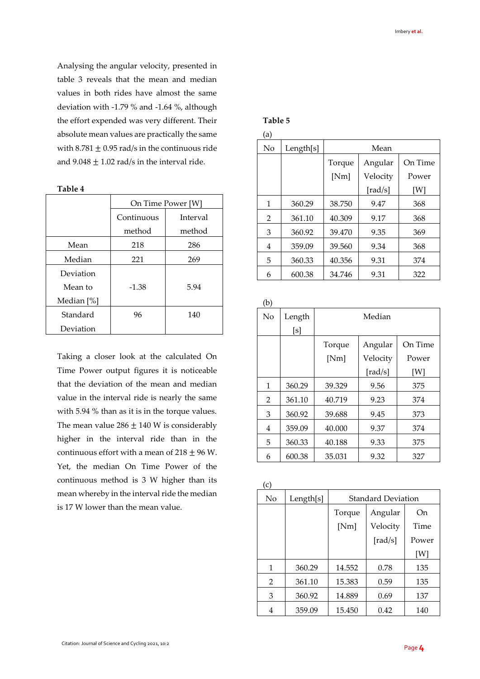Analysing the angular velocity, presented in table 3 reveals that the mean and median values in both rides have almost the same deviation with -1.79 % and -1.64 %, although the effort expended was very different. Their absolute mean values are practically the same with  $8.781 \pm 0.95$  rad/s in the continuous ride and  $9.048 \pm 1.02$  rad/s in the interval ride.

**Table 4**

|            | On Time Power [W]      |        |  |
|------------|------------------------|--------|--|
|            | Continuous<br>Interval |        |  |
|            | method                 | method |  |
| Mean       | 218                    | 286    |  |
| Median     | 221                    | 269    |  |
| Deviation  |                        |        |  |
| Mean to    | $-1.38$                | 5.94   |  |
| Median [%] |                        |        |  |
| Standard   | 96                     | 140    |  |
| Deviation  |                        |        |  |

Taking a closer look at the calculated On Time Power output figures it is noticeable that the deviation of the mean and median value in the interval ride is nearly the same with 5.94 % than as it is in the torque values. The mean value  $286 \pm 140$  W is considerably higher in the interval ride than in the continuous effort with a mean of  $218 \pm 96$  W. Yet, the median On Time Power of the continuous method is 3 W higher than its mean whereby in the interval ride the median is 17 W lower than the mean value.

### **Table 5**

| (a) |           |                              |             |       |  |
|-----|-----------|------------------------------|-------------|-------|--|
| No  | Length[s] | Mean                         |             |       |  |
|     |           | On Time<br>Angular<br>Torque |             |       |  |
|     |           | [Nm]                         | Velocity    | Power |  |
|     |           |                              | [ $rad/s$ ] | [W]   |  |
| 1   | 360.29    | 38.750                       | 9.47        | 368   |  |
| 2   | 361.10    | 40.309                       | 9.17        | 368   |  |
| 3   | 360.92    | 39.470                       | 9.35        | 369   |  |
| 4   | 359.09    | 39.560                       | 9.34        | 368   |  |
| 5   | 360.33    | 40.356                       | 9.31        | 374   |  |
| 6   | 600.38    | 34.746                       | 9.31        | 322   |  |

(b)

| No | Length | Median |             |         |
|----|--------|--------|-------------|---------|
|    | [s]    |        |             |         |
|    |        | Torque | Angular     | On Time |
|    |        | [Nm]   | Velocity    | Power   |
|    |        |        | [ $rad/s$ ] | [W]     |
| 1  | 360.29 | 39.329 | 9.56        | 375     |
| 2  | 361.10 | 40.719 | 9.23        | 374     |
| 3  | 360.92 | 39.688 | 9.45        | 373     |
| 4  | 359.09 | 40.000 | 9.37        | 374     |
| 5  | 360.33 | 40.188 | 9.33        | 375     |
| 6  | 600.38 | 35.031 | 9.32        | 327     |

| (c) |           |                           |             |       |
|-----|-----------|---------------------------|-------------|-------|
| No  | Length[s] | <b>Standard Deviation</b> |             |       |
|     |           | Torque                    | Angular     | On    |
|     |           | [Nm]                      | Velocity    | Time  |
|     |           |                           | [ $rad/s$ ] | Power |
|     |           |                           |             | [W]   |
| 1   | 360.29    | 14.552                    | 0.78        | 135   |
| 2   | 361.10    | 15.383                    | 0.59        | 135   |
| 3   | 360.92    | 14.889                    | 0.69        | 137   |
| 4   | 359.09    | 15.450                    | 0.42        | 140   |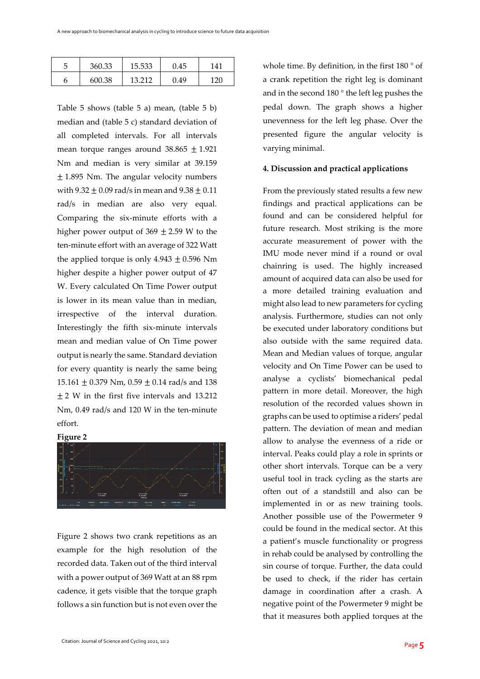| 360.33 | 15.533 | 0.45 | 141 |
|--------|--------|------|-----|
| 600.38 | 13.212 | 9.49 | 120 |

Table 5 shows (table 5 a) mean, (table 5 b) median and (table 5 c) standard deviation of all completed intervals. For all intervals mean torque ranges around  $38.865 \pm 1.921$ Nm and median is very similar at 39.159  $\pm$  1.895 Nm. The angular velocity numbers with  $9.32 \pm 0.09$  rad/s in mean and  $9.38 \pm 0.11$ rad/s in median are also very equal. Comparing the six-minute efforts with a higher power output of  $369 \pm 2.59$  W to the ten-minute effort with an average of 322 Watt the applied torque is only  $4.943 \pm 0.596$  Nm higher despite a higher power output of 47 W. Every calculated On Time Power output is lower in its mean value than in median, irrespective of the interval duration. Interestingly the fifth six-minute intervals mean and median value of On Time power output is nearly the same. Standard deviation for every quantity is nearly the same being 15.161  $\pm$  0.379 Nm, 0.59  $\pm$  0.14 rad/s and 138  $\pm$  2 W in the first five intervals and 13.212 Nm, 0.49 rad/s and 120 W in the ten-minute effort.

### **Figure 2**



Figure 2 shows two crank repetitions as an example for the high resolution of the recorded data. Taken out of the third interval with a power output of 369 Watt at an 88 rpm cadence, it gets visible that the torque graph follows a sin function but is not even over the whole time. By definition, in the first 180 ° of a crank repetition the right leg is dominant and in the second 180 ° the left leg pushes the pedal down. The graph shows a higher unevenness for the left leg phase. Over the presented figure the angular velocity is varying minimal.

### **4. Discussion and practical applications**

From the previously stated results a few new findings and practical applications can be found and can be considered helpful for future research. Most striking is the more accurate measurement of power with the IMU mode never mind if a round or oval chainring is used. The highly increased amount of acquired data can also be used for a more detailed training evaluation and might also lead to new parameters for cycling analysis. Furthermore, studies can not only be executed under laboratory conditions but also outside with the same required data. Mean and Median values of torque, angular velocity and On Time Power can be used to analyse a cyclists' biomechanical pedal pattern in more detail. Moreover, the high resolution of the recorded values shown in graphs can be used to optimise a riders' pedal pattern. The deviation of mean and median allow to analyse the evenness of a ride or interval. Peaks could play a role in sprints or other short intervals. Torque can be a very useful tool in track cycling as the starts are often out of a standstill and also can be implemented in or as new training tools. Another possible use of the Powermeter 9 could be found in the medical sector. At this a patient's muscle functionality or progress in rehab could be analysed by controlling the sin course of torque. Further, the data could be used to check, if the rider has certain damage in coordination after a crash. A negative point of the Powermeter 9 might be that it measures both applied torques at the